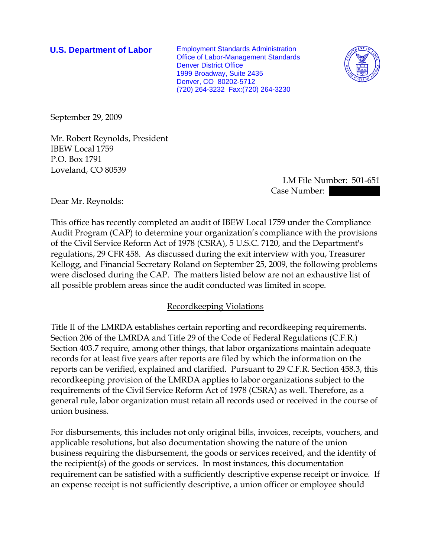**U.S. Department of Labor** Employment Standards Administration Office of Labor-Management Standards Denver District Office 1999 Broadway, Suite 2435 Denver, CO 80202-5712 (720) 264-3232 Fax:(720) 264-3230



September 29, 2009

Mr. Robert Reynolds, President IBEW Local 1759 P.O. Box 1791 Loveland, CO 80539

> LM File Number: 501-651 Case Number:  $\blacksquare$

Dear Mr. Reynolds:

This office has recently completed an audit of IBEW Local 1759 under the Compliance Audit Program (CAP) to determine your organization's compliance with the provisions of the Civil Service Reform Act of 1978 (CSRA), 5 U.S.C. 7120, and the Department's regulations, 29 CFR 458. As discussed during the exit interview with you, Treasurer Kellogg, and Financial Secretary Roland on September 25, 2009, the following problems were disclosed during the CAP. The matters listed below are not an exhaustive list of all possible problem areas since the audit conducted was limited in scope.

## Recordkeeping Violations

Title II of the LMRDA establishes certain reporting and recordkeeping requirements. Section 206 of the LMRDA and Title 29 of the Code of Federal Regulations (C.F.R.) Section 403.7 require, among other things, that labor organizations maintain adequate records for at least five years after reports are filed by which the information on the reports can be verified, explained and clarified. Pursuant to 29 C.F.R. Section 458.3, this recordkeeping provision of the LMRDA applies to labor organizations subject to the requirements of the Civil Service Reform Act of 1978 (CSRA) as well. Therefore, as a general rule, labor organization must retain all records used or received in the course of union business.

For disbursements, this includes not only original bills, invoices, receipts, vouchers, and applicable resolutions, but also documentation showing the nature of the union business requiring the disbursement, the goods or services received, and the identity of the recipient(s) of the goods or services. In most instances, this documentation requirement can be satisfied with a sufficiently descriptive expense receipt or invoice. If an expense receipt is not sufficiently descriptive, a union officer or employee should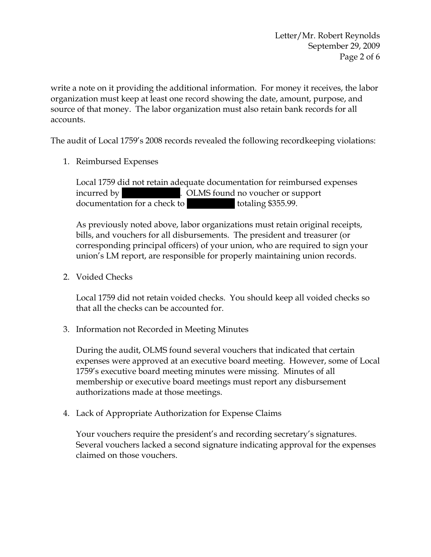write a note on it providing the additional information. For money it receives, the labor organization must keep at least one record showing the date, amount, purpose, and source of that money. The labor organization must also retain bank records for all accounts.

The audit of Local 1759's 2008 records revealed the following recordkeeping violations:

1. Reimbursed Expenses

Local 1759 did not retain adequate documentation for reimbursed expenses incurred by  $\qquad \qquad$  . OLMS found no voucher or support documentation for a check to ||| |||||| totaling \$355.99.

As previously noted above, labor organizations must retain original receipts, bills, and vouchers for all disbursements. The president and treasurer (or corresponding principal officers) of your union, who are required to sign your union's LM report, are responsible for properly maintaining union records.

2. Voided Checks

Local 1759 did not retain voided checks. You should keep all voided checks so that all the checks can be accounted for.

3. Information not Recorded in Meeting Minutes

During the audit, OLMS found several vouchers that indicated that certain expenses were approved at an executive board meeting. However, some of Local 1759's executive board meeting minutes were missing. Minutes of all membership or executive board meetings must report any disbursement authorizations made at those meetings.

4. Lack of Appropriate Authorization for Expense Claims

Your vouchers require the president's and recording secretary's signatures. Several vouchers lacked a second signature indicating approval for the expenses claimed on those vouchers.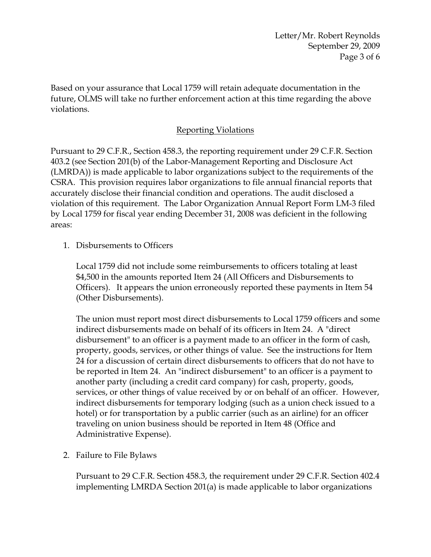Letter/Mr. Robert Reynolds September 29, 2009 Page 3 of 6

Based on your assurance that Local 1759 will retain adequate documentation in the future, OLMS will take no further enforcement action at this time regarding the above violations.

# Reporting Violations

Pursuant to 29 C.F.R., Section 458.3, the reporting requirement under 29 C.F.R. Section 403.2 (see Section 201(b) of the Labor-Management Reporting and Disclosure Act (LMRDA)) is made applicable to labor organizations subject to the requirements of the CSRA. This provision requires labor organizations to file annual financial reports that accurately disclose their financial condition and operations. The audit disclosed a violation of this requirement. The Labor Organization Annual Report Form LM-3 filed by Local 1759 for fiscal year ending December 31, 2008 was deficient in the following areas:

1. Disbursements to Officers

Local 1759 did not include some reimbursements to officers totaling at least \$4,500 in the amounts reported Item 24 (All Officers and Disbursements to Officers). It appears the union erroneously reported these payments in Item 54 (Other Disbursements).

The union must report most direct disbursements to Local 1759 officers and some indirect disbursements made on behalf of its officers in Item 24. A "direct disbursement" to an officer is a payment made to an officer in the form of cash, property, goods, services, or other things of value. See the instructions for Item 24 for a discussion of certain direct disbursements to officers that do not have to be reported in Item 24. An "indirect disbursement" to an officer is a payment to another party (including a credit card company) for cash, property, goods, services, or other things of value received by or on behalf of an officer. However, indirect disbursements for temporary lodging (such as a union check issued to a hotel) or for transportation by a public carrier (such as an airline) for an officer traveling on union business should be reported in Item 48 (Office and Administrative Expense).

2. Failure to File Bylaws

Pursuant to 29 C.F.R. Section 458.3, the requirement under 29 C.F.R. Section 402.4 implementing LMRDA Section 201(a) is made applicable to labor organizations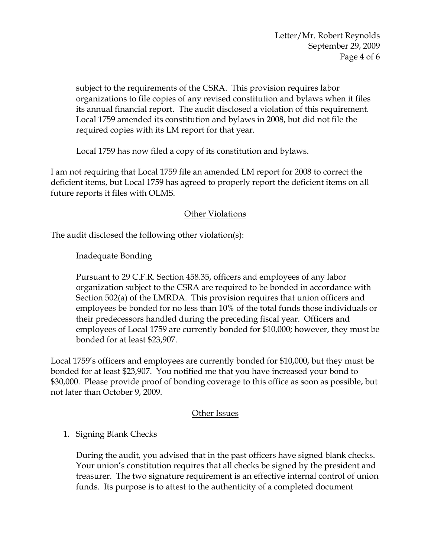subject to the requirements of the CSRA. This provision requires labor organizations to file copies of any revised constitution and bylaws when it files its annual financial report. The audit disclosed a violation of this requirement. Local 1759 amended its constitution and bylaws in 2008, but did not file the required copies with its LM report for that year.

Local 1759 has now filed a copy of its constitution and bylaws.

I am not requiring that Local 1759 file an amended LM report for 2008 to correct the deficient items, but Local 1759 has agreed to properly report the deficient items on all future reports it files with OLMS.

## Other Violations

The audit disclosed the following other violation(s):

Inadequate Bonding

Pursuant to 29 C.F.R. Section 458.35, officers and employees of any labor organization subject to the CSRA are required to be bonded in accordance with Section 502(a) of the LMRDA. This provision requires that union officers and employees be bonded for no less than 10% of the total funds those individuals or their predecessors handled during the preceding fiscal year. Officers and employees of Local 1759 are currently bonded for \$10,000; however, they must be bonded for at least \$23,907.

Local 1759's officers and employees are currently bonded for \$10,000, but they must be bonded for at least \$23,907. You notified me that you have increased your bond to \$30,000. Please provide proof of bonding coverage to this office as soon as possible, but not later than October 9, 2009.

## Other Issues

## 1. Signing Blank Checks

During the audit, you advised that in the past officers have signed blank checks. Your union's constitution requires that all checks be signed by the president and treasurer. The two signature requirement is an effective internal control of union funds. Its purpose is to attest to the authenticity of a completed document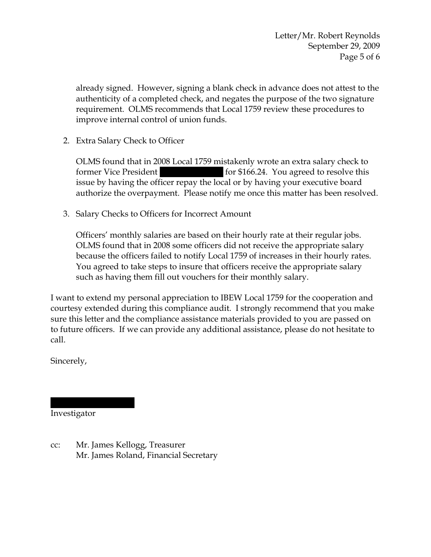Letter/Mr. Robert Reynolds September 29, 2009 Page 5 of 6

already signed. However, signing a blank check in advance does not attest to the authenticity of a completed check, and negates the purpose of the two signature requirement. OLMS recommends that Local 1759 review these procedures to improve internal control of union funds.

2. Extra Salary Check to Officer

OLMS found that in 2008 Local 1759 mistakenly wrote an extra salary check to former Vice President  $|$  for \$166.24. You agreed to resolve this issue by having the officer repay the local or by having your executive board authorize the overpayment. Please notify me once this matter has been resolved.

3. Salary Checks to Officers for Incorrect Amount

Officers' monthly salaries are based on their hourly rate at their regular jobs. OLMS found that in 2008 some officers did not receive the appropriate salary because the officers failed to notify Local 1759 of increases in their hourly rates. You agreed to take steps to insure that officers receive the appropriate salary such as having them fill out vouchers for their monthly salary.

I want to extend my personal appreciation to IBEW Local 1759 for the cooperation and courtesy extended during this compliance audit. I strongly recommend that you make sure this letter and the compliance assistance materials provided to you are passed on to future officers. If we can provide any additional assistance, please do not hesitate to call.

Sincerely,

Investigator

|||||||| ||||||||

cc: Mr. James Kellogg, Treasurer Mr. James Roland, Financial Secretary